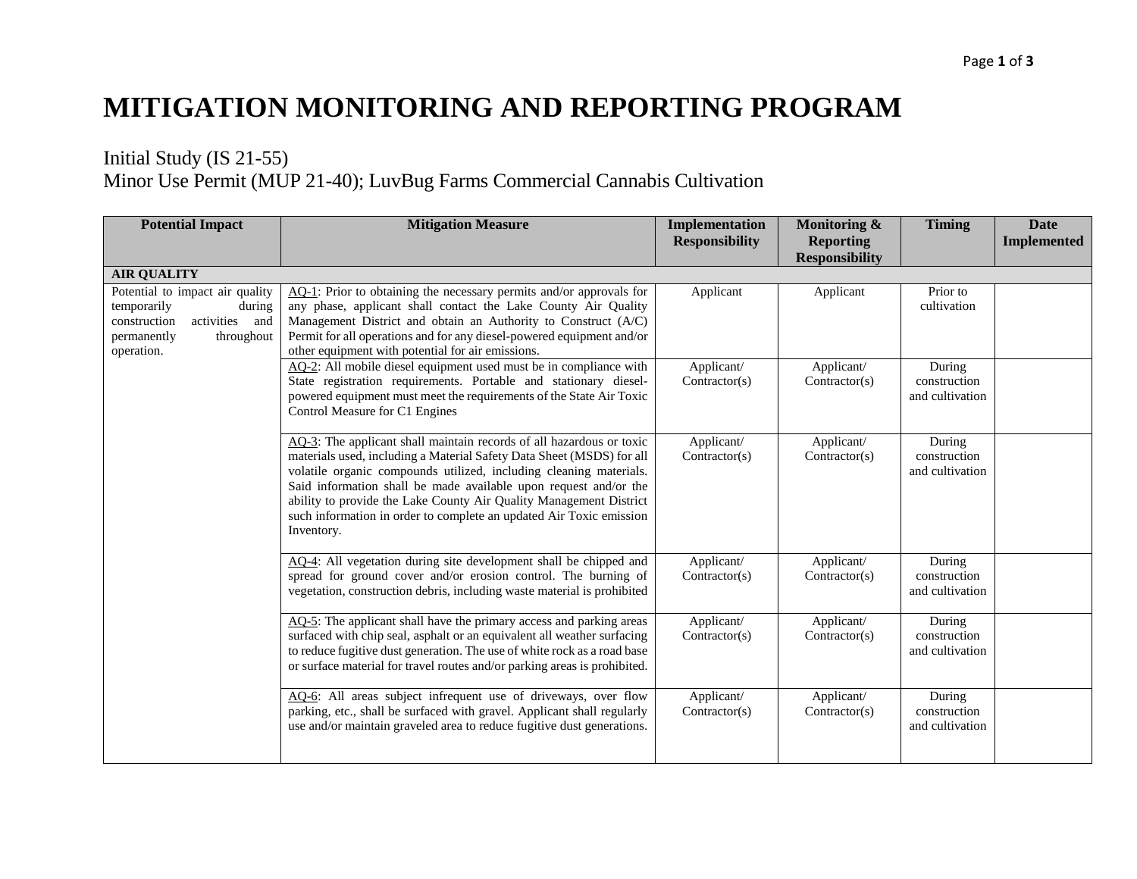## **MITIGATION MONITORING AND REPORTING PROGRAM**

## Initial Study (IS 21-55) Minor Use Permit (MUP 21-40); LuvBug Farms Commercial Cannabis Cultivation

| <b>Potential Impact</b>                                                                                                               | <b>Mitigation Measure</b>                                                                                                                                                                                                                                                                                                                                                                                                                          | Implementation<br><b>Responsibility</b> | Monitoring &<br><b>Reporting</b><br><b>Responsibility</b> | <b>Timing</b>                             | <b>Date</b><br><b>Implemented</b> |
|---------------------------------------------------------------------------------------------------------------------------------------|----------------------------------------------------------------------------------------------------------------------------------------------------------------------------------------------------------------------------------------------------------------------------------------------------------------------------------------------------------------------------------------------------------------------------------------------------|-----------------------------------------|-----------------------------------------------------------|-------------------------------------------|-----------------------------------|
| <b>AIR QUALITY</b>                                                                                                                    |                                                                                                                                                                                                                                                                                                                                                                                                                                                    |                                         |                                                           |                                           |                                   |
| Potential to impact air quality<br>temporarily<br>during<br>activities and<br>construction<br>permanently<br>throughout<br>operation. | AQ-1: Prior to obtaining the necessary permits and/or approvals for<br>any phase, applicant shall contact the Lake County Air Quality<br>Management District and obtain an Authority to Construct (A/C)<br>Permit for all operations and for any diesel-powered equipment and/or<br>other equipment with potential for air emissions.                                                                                                              | Applicant                               | Applicant                                                 | Prior to<br>cultivation                   |                                   |
|                                                                                                                                       | AQ-2: All mobile diesel equipment used must be in compliance with<br>State registration requirements. Portable and stationary diesel-<br>powered equipment must meet the requirements of the State Air Toxic<br>Control Measure for C1 Engines                                                                                                                                                                                                     | Applicant/<br>Contractor(s)             | Applicant/<br>Contractor(s)                               | During<br>construction<br>and cultivation |                                   |
|                                                                                                                                       | AQ-3: The applicant shall maintain records of all hazardous or toxic<br>materials used, including a Material Safety Data Sheet (MSDS) for all<br>volatile organic compounds utilized, including cleaning materials.<br>Said information shall be made available upon request and/or the<br>ability to provide the Lake County Air Quality Management District<br>such information in order to complete an updated Air Toxic emission<br>Inventory. | Applicant/<br>Contractor(s)             | Applicant/<br>Contractor(s)                               | During<br>construction<br>and cultivation |                                   |
|                                                                                                                                       | AQ-4: All vegetation during site development shall be chipped and<br>spread for ground cover and/or erosion control. The burning of<br>vegetation, construction debris, including waste material is prohibited                                                                                                                                                                                                                                     | Applicant/<br>Contractor(s)             | Applicant/<br>Contractor(s)                               | During<br>construction<br>and cultivation |                                   |
|                                                                                                                                       | AQ-5: The applicant shall have the primary access and parking areas<br>surfaced with chip seal, asphalt or an equivalent all weather surfacing<br>to reduce fugitive dust generation. The use of white rock as a road base<br>or surface material for travel routes and/or parking areas is prohibited.                                                                                                                                            | Applicant/<br>Contractor(s)             | Applicant/<br>Contractor(s)                               | During<br>construction<br>and cultivation |                                   |
|                                                                                                                                       | AQ-6: All areas subject infrequent use of driveways, over flow<br>parking, etc., shall be surfaced with gravel. Applicant shall regularly<br>use and/or maintain graveled area to reduce fugitive dust generations.                                                                                                                                                                                                                                | Applicant/<br>Contractor(s)             | Applicant/<br>Contractor(s)                               | During<br>construction<br>and cultivation |                                   |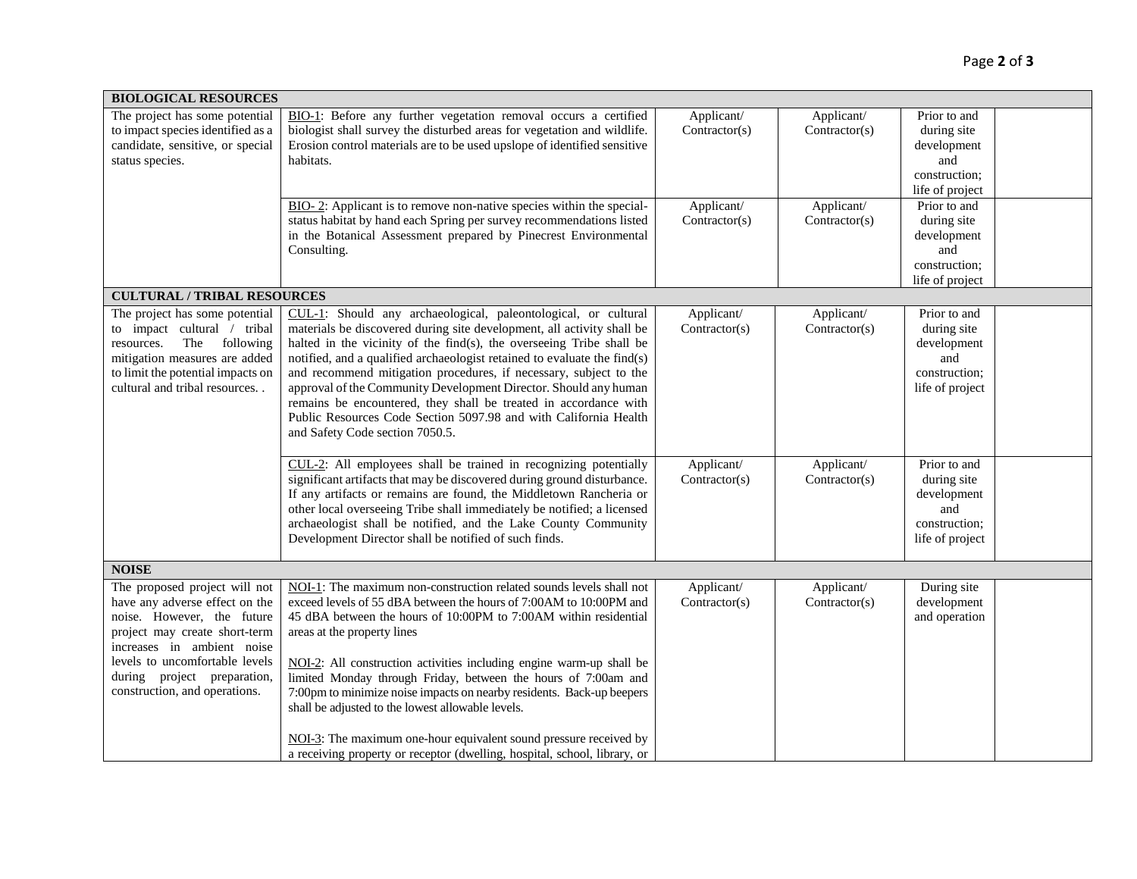| <b>BIOLOGICAL RESOURCES</b>                                                                                                                                                                                                                                    |                                                                                                                                                                                                                                                                                                                                                                                                                                                                                                                                                                                                                                                                        |                                           |                                           |                                                                                                       |  |
|----------------------------------------------------------------------------------------------------------------------------------------------------------------------------------------------------------------------------------------------------------------|------------------------------------------------------------------------------------------------------------------------------------------------------------------------------------------------------------------------------------------------------------------------------------------------------------------------------------------------------------------------------------------------------------------------------------------------------------------------------------------------------------------------------------------------------------------------------------------------------------------------------------------------------------------------|-------------------------------------------|-------------------------------------------|-------------------------------------------------------------------------------------------------------|--|
| The project has some potential<br>to impact species identified as a<br>candidate, sensitive, or special<br>status species.                                                                                                                                     | BIO-1: Before any further vegetation removal occurs a certified<br>biologist shall survey the disturbed areas for vegetation and wildlife.<br>Erosion control materials are to be used upslope of identified sensitive<br>habitats.<br>BIO-2: Applicant is to remove non-native species within the special-                                                                                                                                                                                                                                                                                                                                                            | Applicant/<br>Contractor(s)<br>Applicant/ | Applicant/<br>Contractor(s)<br>Applicant/ | Prior to and<br>during site<br>development<br>and<br>construction;<br>life of project<br>Prior to and |  |
|                                                                                                                                                                                                                                                                | status habitat by hand each Spring per survey recommendations listed<br>in the Botanical Assessment prepared by Pinecrest Environmental<br>Consulting.                                                                                                                                                                                                                                                                                                                                                                                                                                                                                                                 | Contractor(s)                             | Contractor(s)                             | during site<br>development<br>and<br>construction;<br>life of project                                 |  |
| <b>CULTURAL / TRIBAL RESOURCES</b>                                                                                                                                                                                                                             |                                                                                                                                                                                                                                                                                                                                                                                                                                                                                                                                                                                                                                                                        |                                           |                                           |                                                                                                       |  |
| The project has some potential<br>to impact cultural / tribal<br>The<br>following<br>resources.<br>mitigation measures are added<br>to limit the potential impacts on<br>cultural and tribal resources                                                         | CUL-1: Should any archaeological, paleontological, or cultural<br>materials be discovered during site development, all activity shall be<br>halted in the vicinity of the find(s), the overseeing Tribe shall be<br>notified, and a qualified archaeologist retained to evaluate the find(s)<br>and recommend mitigation procedures, if necessary, subject to the<br>approval of the Community Development Director. Should any human<br>remains be encountered, they shall be treated in accordance with<br>Public Resources Code Section 5097.98 and with California Health<br>and Safety Code section 7050.5.                                                       | Applicant/<br>Contractor(s)               | Applicant/<br>Contractor(s)               | Prior to and<br>during site<br>development<br>and<br>construction;<br>life of project                 |  |
|                                                                                                                                                                                                                                                                | CUL-2: All employees shall be trained in recognizing potentially<br>significant artifacts that may be discovered during ground disturbance.<br>If any artifacts or remains are found, the Middletown Rancheria or<br>other local overseeing Tribe shall immediately be notified; a licensed<br>archaeologist shall be notified, and the Lake County Community<br>Development Director shall be notified of such finds.                                                                                                                                                                                                                                                 | Applicant/<br>Contractor(s)               | Applicant/<br>Contractor(s)               | Prior to and<br>during site<br>development<br>and<br>construction;<br>life of project                 |  |
| <b>NOISE</b>                                                                                                                                                                                                                                                   |                                                                                                                                                                                                                                                                                                                                                                                                                                                                                                                                                                                                                                                                        |                                           |                                           |                                                                                                       |  |
| The proposed project will not<br>have any adverse effect on the<br>noise. However, the future<br>project may create short-term<br>increases in ambient noise<br>levels to uncomfortable levels<br>during project preparation,<br>construction, and operations. | NOI-1: The maximum non-construction related sounds levels shall not<br>exceed levels of 55 dBA between the hours of 7:00AM to 10:00PM and<br>45 dBA between the hours of 10:00PM to 7:00AM within residential<br>areas at the property lines<br>NOI-2: All construction activities including engine warm-up shall be<br>limited Monday through Friday, between the hours of 7:00am and<br>7:00pm to minimize noise impacts on nearby residents. Back-up beepers<br>shall be adjusted to the lowest allowable levels.<br>NOI-3: The maximum one-hour equivalent sound pressure received by<br>a receiving property or receptor (dwelling, hospital, school, library, or | Applicant/<br>Contractor(s)               | Applicant/<br>Contractor(s)               | During site<br>development<br>and operation                                                           |  |